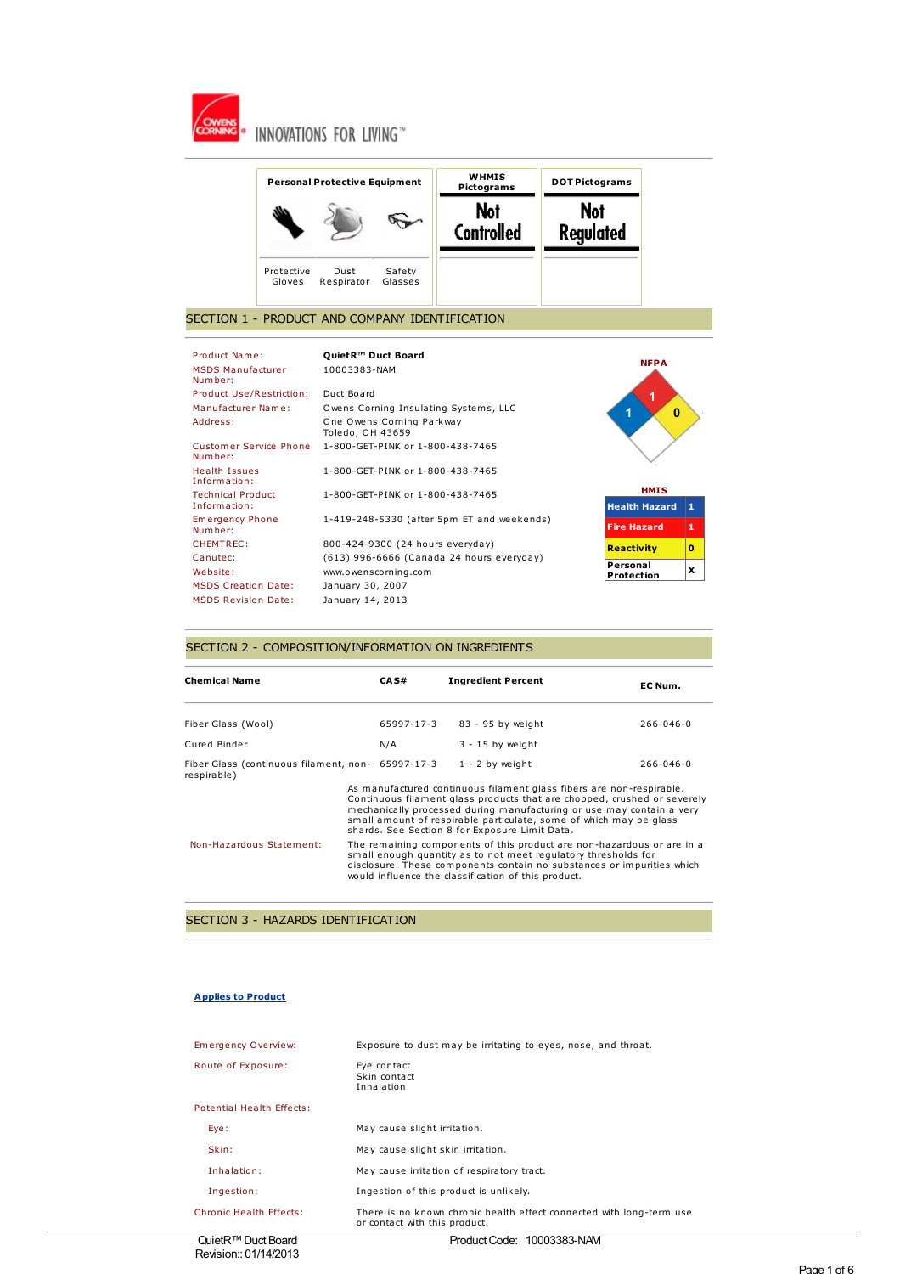



### SECTION 1 - PRODUCT AND COMPANY IDENTIFICATION

| Product Name:                        | QuietR <sup>™</sup> Duct Board                | <b>NFPA</b>                   |   |
|--------------------------------------|-----------------------------------------------|-------------------------------|---|
| <b>MSDS Manufacturer</b><br>Number:  | 10003383-NAM                                  |                               |   |
| Product Use/Restriction:             | Duct Board                                    |                               |   |
| Manufacturer Name:                   | Owens Corning Insulating Systems, LLC         | $\bf{0}$<br>ń                 |   |
| Address:                             | One Owens Corning Parkway<br>Toledo, OH 43659 |                               |   |
| Customer Service Phone<br>Number:    | 1-800-GET-PINK or 1-800-438-7465              |                               |   |
| <b>Health Issues</b><br>Information: | 1-800-GET-PINK or 1-800-438-7465              |                               |   |
| <b>Technical Product</b>             | 1-800-GET-PINK or 1-800-438-7465              | <b>HMIS</b>                   |   |
| Information:                         |                                               | <b>Health Hazard</b>          | 1 |
| <b>Emergency Phone</b><br>Number:    | 1-419-248-5330 (after 5pm ET and weekends)    | <b>Fire Hazard</b>            | 1 |
| CHEMTREC:                            | 800-424-9300 (24 hours everyday)              | <b>Reactivity</b>             | o |
| Canutec:                             | (613) 996-6666 (Canada 24 hours everyday)     |                               |   |
| Website:                             | www.owenscorning.com                          | Personal<br><b>Protection</b> | x |
| <b>MSDS Creation Date:</b>           | January 30, 2007                              |                               |   |
| <b>MSDS Revision Date:</b>           | January 14, 2013                              |                               |   |
|                                      |                                               |                               |   |

## SECTION 2 - COMPOSITION/INFORMATION ON INGREDIENTS

| <b>Chemical Name</b>                                             |                                                                                                                                                                                                                                                                           | CAS#       | <b>Ingredient Percent</b>                                                                                                                                                                                                                                                                                                                         | EC Num.         |
|------------------------------------------------------------------|---------------------------------------------------------------------------------------------------------------------------------------------------------------------------------------------------------------------------------------------------------------------------|------------|---------------------------------------------------------------------------------------------------------------------------------------------------------------------------------------------------------------------------------------------------------------------------------------------------------------------------------------------------|-----------------|
| Fiber Glass (Wool)                                               |                                                                                                                                                                                                                                                                           | 65997-17-3 | 83 - 95 by weight                                                                                                                                                                                                                                                                                                                                 | 266-046-0       |
| Cured Binder                                                     |                                                                                                                                                                                                                                                                           | N/A        | $3 - 15$ by weight                                                                                                                                                                                                                                                                                                                                |                 |
| Fiber Glass (continuous filament, non- 65997-17-3<br>respirable) |                                                                                                                                                                                                                                                                           |            | $1 - 2$ by weight                                                                                                                                                                                                                                                                                                                                 | $266 - 046 - 0$ |
|                                                                  |                                                                                                                                                                                                                                                                           |            | As manufactured continuous filament glass fibers are non-respirable.<br>Continuous filament glass products that are chopped, crushed or severely<br>mechanically processed during manufacturing or use may contain a very<br>small amount of respirable particulate, some of which may be glass<br>shards. See Section 8 for Exposure Limit Data. |                 |
| Non-Hazardous Statement:                                         | The remaining components of this product are non-hazardous or are in a<br>small enough quantity as to not meet regulatory thresholds for<br>disclosure. These components contain no substances or impurities which<br>would influence the classification of this product. |            |                                                                                                                                                                                                                                                                                                                                                   |                 |

## SECTION 3 - HAZARDS IDENTIFICATION

#### **Applies to Product**

| Emergency Overview:       | Exposure to dust may be irritating to eyes, nose, and throat.                                         |  |
|---------------------------|-------------------------------------------------------------------------------------------------------|--|
| Route of Exposure:        | Eve contact<br>Skin contact<br>Inhalation                                                             |  |
| Potential Health Effects: |                                                                                                       |  |
| Eye:                      | May cause slight irritation.                                                                          |  |
| Skin:                     | May cause slight skin irritation.                                                                     |  |
| Inhalation:               | May cause irritation of respiratory tract.                                                            |  |
| Ingestion:                | Ingestion of this product is unlikely.                                                                |  |
| Chronic Health Effects:   | There is no known chronic health effect connected with long-term use<br>or contact with this product. |  |
|                           |                                                                                                       |  |

QuietR<sup>™</sup> Duct Board Revision:: 01/14/2013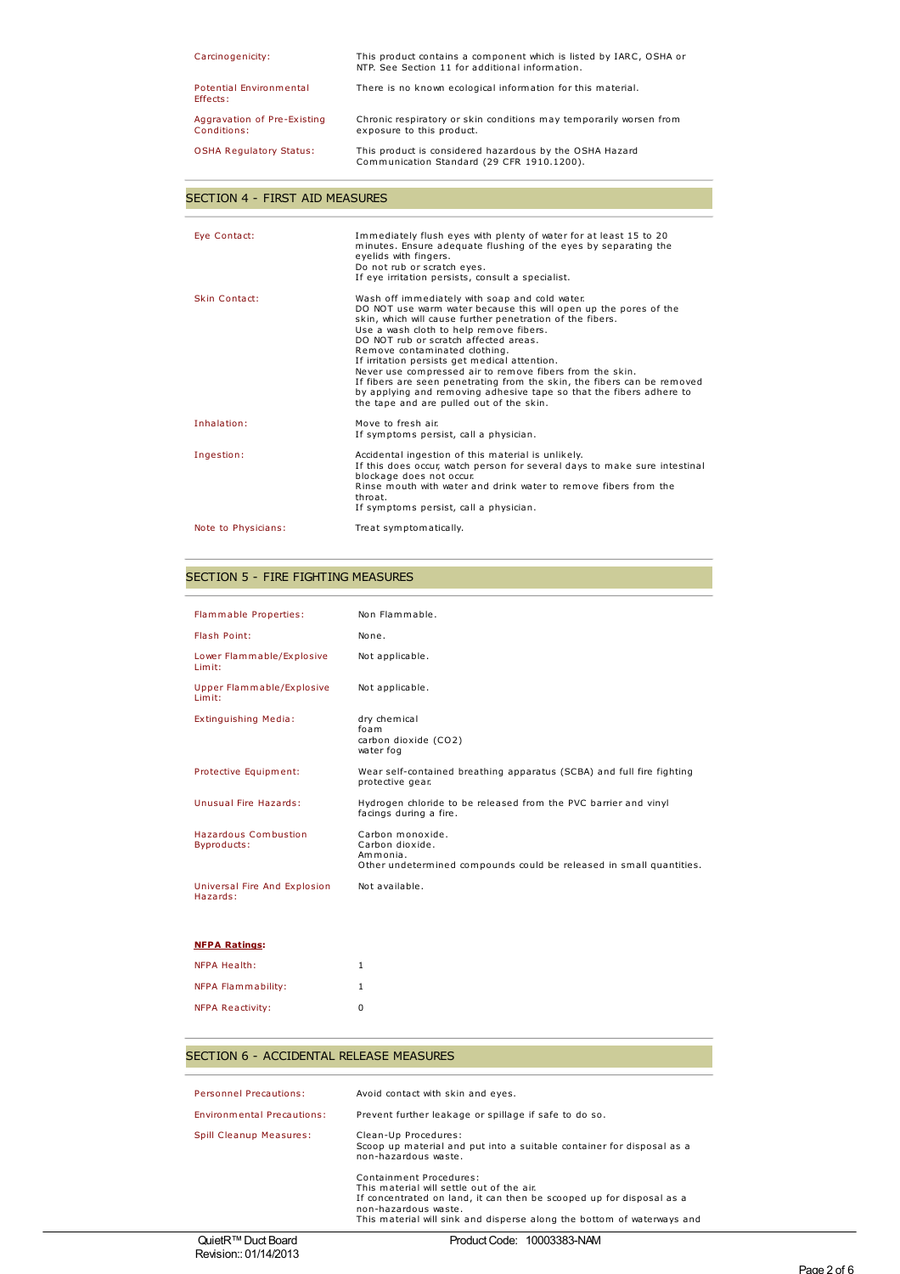| Carcinogenicity:                           | This product contains a component which is listed by IARC, OSHA or<br>NTP. See Section 11 for additional information. |
|--------------------------------------------|-----------------------------------------------------------------------------------------------------------------------|
| Potential Environmental<br>Effects:        | There is no known ecological information for this material.                                                           |
| Aggravation of Pre-Existing<br>Conditions: | Chronic respiratory or skin conditions may temporarily worsen from<br>exposure to this product.                       |
| <b>OSHA Regulatory Status:</b>             | This product is considered hazardous by the OSHA Hazard<br>Communication Standard (29 CFR 1910.1200).                 |

## SECTION 4 - FIRST AID MEASURES

| Eve Contact:        | Immediately flush eyes with plenty of water for at least 15 to 20<br>minutes. Ensure adequate flushing of the eyes by separating the<br>eyelids with fingers.<br>Do not rub or scratch eyes.<br>If eye irritation persists, consult a specialist.                                                                                                                                                                                                                                                                                                                                                               |
|---------------------|-----------------------------------------------------------------------------------------------------------------------------------------------------------------------------------------------------------------------------------------------------------------------------------------------------------------------------------------------------------------------------------------------------------------------------------------------------------------------------------------------------------------------------------------------------------------------------------------------------------------|
| Skin Contact:       | Wash off immediately with soap and cold water.<br>DO NOT use warm water because this will open up the pores of the<br>skin, which will cause further penetration of the fibers.<br>Use a wash cloth to help remove fibers.<br>DO NOT rub or scratch affected areas.<br>Remove contaminated clothing.<br>If irritation persists get medical attention.<br>Never use compressed air to remove fibers from the skin.<br>If fibers are seen penetrating from the skin, the fibers can be removed<br>by applying and removing adhesive tape so that the fibers adhere to<br>the tape and are pulled out of the skin. |
| Inhalation:         | Move to fresh air.<br>If symptoms persist, call a physician.                                                                                                                                                                                                                                                                                                                                                                                                                                                                                                                                                    |
| Ingestion:          | Accidental ingestion of this material is unlikely.<br>If this does occur, watch person for several days to make sure intestinal<br>blockage does not occur.<br>Rinse mouth with water and drink water to remove fibers from the<br>throat.<br>If symptoms persist, call a physician.                                                                                                                                                                                                                                                                                                                            |
| Note to Physicians: | Treat symptomatically.                                                                                                                                                                                                                                                                                                                                                                                                                                                                                                                                                                                          |

## SECTION 5 - FIRE FIGHTING MEASURES

| Flammable Properties:                    | Non Flammable.                                                                                                         |
|------------------------------------------|------------------------------------------------------------------------------------------------------------------------|
| Flash Point:                             | None.                                                                                                                  |
| Lower Flammable/Explosive<br>Limit:      | Not applicable.                                                                                                        |
| Upper Flammable/Explosive<br>Limit:      | Not applicable.                                                                                                        |
| Extinguishing Media:                     | dry chemical<br>foam<br>carbon dioxide (CO2)<br>water fog                                                              |
| Protective Equipment:                    | Wear self-contained breathing apparatus (SCBA) and full fire fighting<br>protective gear.                              |
| Unusual Fire Hazards:                    | Hydrogen chloride to be released from the PVC barrier and vinyl<br>facings during a fire.                              |
| Hazardous Combustion<br>Byproducts:      | Carbon monoxide.<br>Carbon dioxide.<br>Ammonia.<br>Other undetermined compounds could be released in small quantities. |
| Universal Fire And Explosion<br>Hazards: | Not available.                                                                                                         |

### **NFPA Ratings:**

| <b>NFPA Health:</b>       | 1 |
|---------------------------|---|
| <b>NFPA Flammability:</b> |   |
| <b>NFPA Reactivity:</b>   | n |

## SECTION 6 - ACCIDENTAL RELEASE MEASURES

| $\bigcap_{n=1}^{\infty}$ of $\bigcap_{n=1}^{\infty}$ $\bigcap_{n=1}^{\infty}$ $\bigcap_{n=1}^{\infty}$ $\bigcap_{n=1}^{\infty}$ | $D_{12}$ , $L_{13}$ , $D_{21}$ , $L_{14}$ , $D_{15}$ , $D_{16}$ , $D_{17}$ , $D_{18}$ , $D_{19}$                                                                                                                                               |
|---------------------------------------------------------------------------------------------------------------------------------|------------------------------------------------------------------------------------------------------------------------------------------------------------------------------------------------------------------------------------------------|
|                                                                                                                                 | Containment Procedures:<br>This material will settle out of the air.<br>If concentrated on land, it can then be scooped up for disposal as a<br>non-hazardous waste.<br>This material will sink and disperse along the bottom of waterways and |
| <b>Spill Cleanup Measures:</b>                                                                                                  | Clean-Up Procedures:<br>Scoop up material and put into a suitable container for disposal as a<br>non-hazardous waste.                                                                                                                          |
| Environmental Precautions:                                                                                                      | Prevent further leakage or spillage if safe to do so.                                                                                                                                                                                          |
| <b>Personnel Precautions:</b>                                                                                                   | Avoid contact with skin and eyes.                                                                                                                                                                                                              |
|                                                                                                                                 |                                                                                                                                                                                                                                                |

Product Code: 10003383-NAM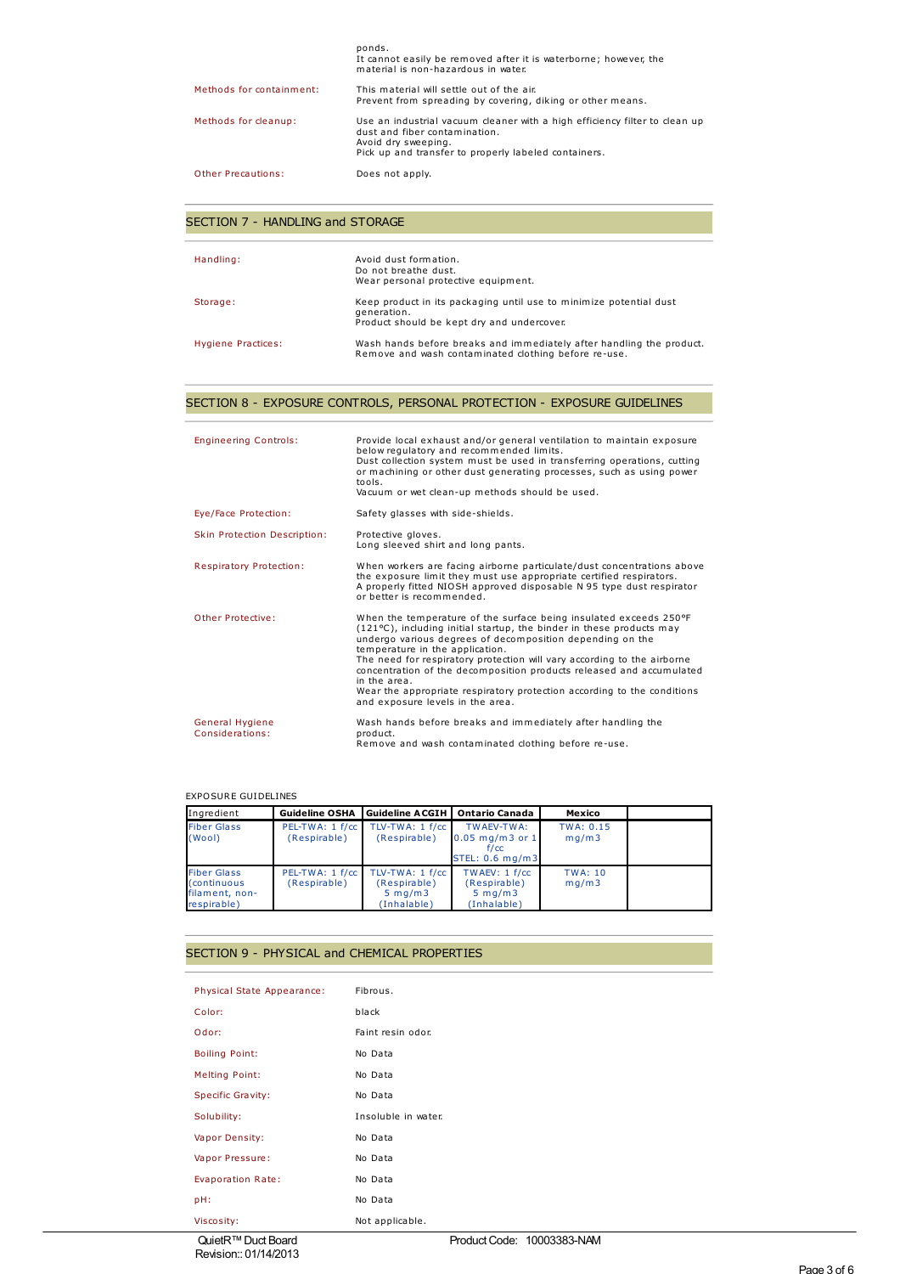|                          | ponds.<br>It cannot easily be removed after it is waterborne; however, the<br>material is non-hazardous in water                                                                           |
|--------------------------|--------------------------------------------------------------------------------------------------------------------------------------------------------------------------------------------|
| Methods for containment: | This material will settle out of the air.<br>Prevent from spreading by covering, diking or other means.                                                                                    |
| Methods for cleanup:     | Use an industrial vacuum cleaner with a high efficiency filter to clean up<br>dust and fiber contamination.<br>Avoid dry sweeping.<br>Pick up and transfer to properly labeled containers. |
| Other Precautions:       | Does not apply.                                                                                                                                                                            |

## SECTION 7 - HANDLING and STORAGE

| Handling:          | Avoid dust formation.<br>Do not breathe dust.<br>Wear personal protective equipment.                                            |
|--------------------|---------------------------------------------------------------------------------------------------------------------------------|
| Storage:           | Keep product in its packaging until use to minimize potential dust<br>generation.<br>Product should be kept dry and undercover. |
| Hygiene Practices: | Wash hands before breaks and immediately after handling the product.<br>Remove and wash contaminated clothing before re-use.    |

## SECTION 8 - EXPOSURE CONTROLS, PERSONAL PROTECTION - EXPOSURE GUIDELINES

| <b>Engineering Controls:</b>       | Provide local exhaust and/or general ventilation to maintain exposure<br>below regulatory and recommended limits.<br>Dust collection system must be used in transferring operations, cutting<br>or machining or other dust generating processes, such as using power<br>tools.<br>Vacuum or wet clean-up methods should be used.                                                                                                                                                                                                      |
|------------------------------------|---------------------------------------------------------------------------------------------------------------------------------------------------------------------------------------------------------------------------------------------------------------------------------------------------------------------------------------------------------------------------------------------------------------------------------------------------------------------------------------------------------------------------------------|
| Eye/Face Protection:               | Safety glasses with side-shields.                                                                                                                                                                                                                                                                                                                                                                                                                                                                                                     |
| Skin Protection Description:       | Protective gloves.<br>Long sleeved shirt and long pants.                                                                                                                                                                                                                                                                                                                                                                                                                                                                              |
| Respiratory Protection:            | When workers are facing airborne particulate/dust concentrations above<br>the exposure limit they must use appropriate certified respirators.<br>A properly fitted NIOSH approved disposable N 95 type dust respirator<br>or better is recommended.                                                                                                                                                                                                                                                                                   |
| Other Protective:                  | When the temperature of the surface being insulated exceeds 250°F<br>$(121^{\circ}C)$ , including initial startup, the binder in these products may<br>undergo various degrees of decomposition depending on the<br>temperature in the application.<br>The need for respiratory protection will vary according to the airborne<br>concentration of the decomposition products released and accumulated<br>in the area.<br>Wear the appropriate respiratory protection according to the conditions<br>and exposure levels in the area. |
| General Hygiene<br>Considerations: | Wash hands before breaks and immediately after handling the<br>product.<br>Remove and wash contaminated clothing before re-use.                                                                                                                                                                                                                                                                                                                                                                                                       |

### EXPOSURE GUIDELINES

| Ingredient                                                                 | <b>Guideline OSHA</b>           | <b>Guideline ACGIH</b>                                               | <b>Ontario Canada</b>                                            | Mexico                    |  |
|----------------------------------------------------------------------------|---------------------------------|----------------------------------------------------------------------|------------------------------------------------------------------|---------------------------|--|
| <b>Fiber Glass</b><br>(Wool)                                               | PEL-TWA: 1 f/cc<br>(Respirable) | $TLV-TWA: 1 f/cc$<br>(Respirable)                                    | TWAEV-TWA:<br>$0.05$ mg/m3 or 1<br>f/cc<br>STEL: 0.6 mg/m3       | <b>TWA: 0.15</b><br>mq/m3 |  |
| <b>Fiber Glass</b><br><i>(continuous)</i><br>filament, non-<br>respirable) | PEL-TWA: 1 f/cc<br>(Respirable) | TLV-TWA: 1 f/cc<br>(Respirable)<br>$5 \,$ mg/m $3 \,$<br>(Inhalable) | TWAEV: 1 f/cc<br>(Respirable)<br>$5 \text{ mg/m}$<br>(Inhalable) | <b>TWA: 10</b><br>mq/m3   |  |

## SECTION 9 - PHYSICAL and CHEMICAL PROPERTIES

| Physical State Appearance: | Fibrous.            |
|----------------------------|---------------------|
| Color:                     | black               |
| Odor:                      | Faint resin odor.   |
| <b>Boiling Point:</b>      | No Data             |
| <b>Melting Point:</b>      | No Data             |
| Specific Gravity:          | No Data             |
| Solubility:                | Insoluble in water. |
| Vapor Density:             | No Data             |
| Vapor Pressure:            | No Data             |
| Evaporation Rate:          | No Data             |
| pH:                        | No Data             |
| Viscosity:                 | Not applicable.     |

QuietR™ Duct Board Revision:: 01/14/2013 Product Code: 10003383-NAM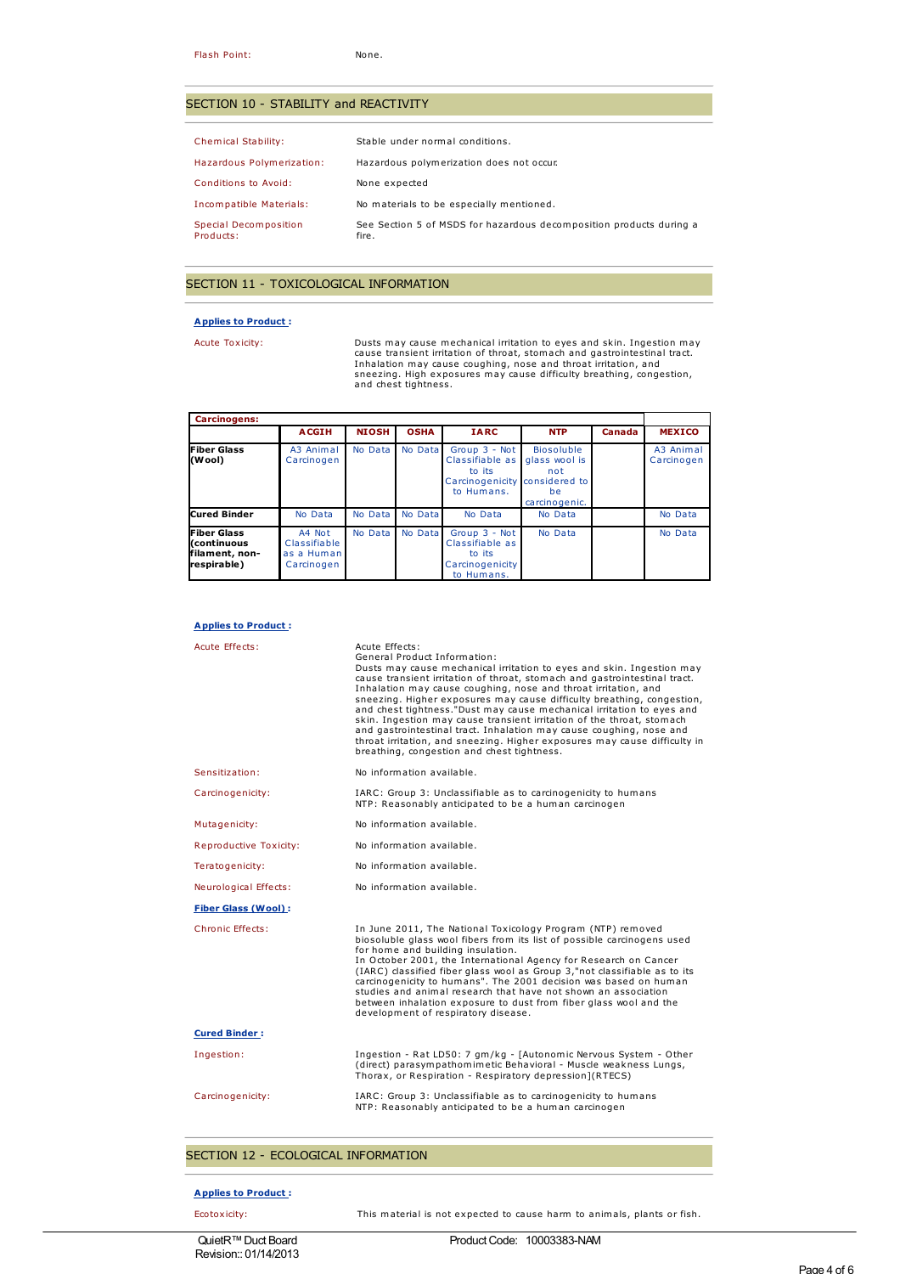### SECTION 10 - STABILITY and REACTIVITY

| Chemical Stability:                | Stable under normal conditions.                                              |
|------------------------------------|------------------------------------------------------------------------------|
| Hazardous Polymerization:          | Hazardous polymerization does not occur.                                     |
| Conditions to Avoid:               | None expected                                                                |
| Incompatible Materials:            | No materials to be especially mentioned.                                     |
| Special Decomposition<br>Products: | See Section 5 of MSDS for hazardous decomposition products during a<br>fire. |

## SECTION 11 - TOXICOLOGICAL INFORMATION

### **Applies to Product :**

Acute Toxicity:<br>Dusts may cause mechanical irritation to eyes and skin. Ingestion may<br>cause transient irritation of throat, stomach and gastrointestinal tract.<br>Inhalation may cause coughing, nose and throat irritation, and

| <b>Carcinogens:</b>                                                |                                                    |              |             |                                                                                           |                                                                  |        |                         |
|--------------------------------------------------------------------|----------------------------------------------------|--------------|-------------|-------------------------------------------------------------------------------------------|------------------------------------------------------------------|--------|-------------------------|
|                                                                    | <b>ACGIH</b>                                       | <b>NIOSH</b> | <b>OSHA</b> | <b>IARC</b>                                                                               | <b>NTP</b>                                                       | Canada | <b>MEXICO</b>           |
| <b>Fiber Glass</b><br>(Wool)                                       | A3 Animal<br>Carcinogen                            | No Data      | No Data     | Group 3 - Not<br>Classifiable as<br>to its<br>Carcinogenicity considered to<br>to Humans. | <b>Biosoluble</b><br>glass wool is<br>not<br>be<br>carcinogenic. |        | A3 Animal<br>Carcinogen |
| Cured Binder                                                       | No Data                                            | No Data      | No Data     | No Data                                                                                   | No Data                                                          |        | No Data                 |
| <b>Fiber Glass</b><br>(continuous<br>filament, non-<br>respirable) | A4 Not<br>Classifiable<br>as a Human<br>Carcinogen | No Data      | No Data     | Group 3 - Not<br>Classifiable as<br>to its<br>Carcinogenicity<br>to Humans.               | No Data                                                          |        | No Data                 |

#### **Applies to Product :**

| Acute Effects:             | Acute Effects:<br>General Product Information:<br>Dusts may cause mechanical irritation to eyes and skin. Ingestion may<br>cause transient irritation of throat, stomach and gastrointestinal tract.<br>Inhalation may cause coughing, nose and throat irritation, and<br>sneezing. Higher exposures may cause difficulty breathing, congestion,<br>and chest tightness."Dust may cause mechanical irritation to eyes and<br>skin. Ingestion may cause transient irritation of the throat, stomach<br>and gastrointestinal tract. Inhalation may cause coughing, nose and<br>throat irritation, and sneezing. Higher exposures may cause difficulty in<br>breathing, congestion and chest tightness. |
|----------------------------|------------------------------------------------------------------------------------------------------------------------------------------------------------------------------------------------------------------------------------------------------------------------------------------------------------------------------------------------------------------------------------------------------------------------------------------------------------------------------------------------------------------------------------------------------------------------------------------------------------------------------------------------------------------------------------------------------|
| Sensitization:             | No information available.                                                                                                                                                                                                                                                                                                                                                                                                                                                                                                                                                                                                                                                                            |
| Carcinogenicity:           | IARC: Group 3: Unclassifiable as to carcinogenicity to humans<br>NTP: Reasonably anticipated to be a human carcinogen                                                                                                                                                                                                                                                                                                                                                                                                                                                                                                                                                                                |
| Mutagenicity:              | No information available.                                                                                                                                                                                                                                                                                                                                                                                                                                                                                                                                                                                                                                                                            |
| Reproductive Toxicity:     | No information available.                                                                                                                                                                                                                                                                                                                                                                                                                                                                                                                                                                                                                                                                            |
| Teratogenicity:            | No information available.                                                                                                                                                                                                                                                                                                                                                                                                                                                                                                                                                                                                                                                                            |
| Neurological Effects:      | No information available.                                                                                                                                                                                                                                                                                                                                                                                                                                                                                                                                                                                                                                                                            |
| <b>Fiber Glass (Wool):</b> |                                                                                                                                                                                                                                                                                                                                                                                                                                                                                                                                                                                                                                                                                                      |
| Chronic Effects:           | In June 2011, The National Toxicology Program (NTP) removed<br>biosoluble glass wool fibers from its list of possible carcinogens used<br>for home and building insulation.<br>In October 2001, the International Agency for Research on Cancer<br>(IARC) classified fiber glass wool as Group 3,"not classifiable as to its<br>carcinogenicity to humans". The 2001 decision was based on human<br>studies and animal research that have not shown an association<br>between inhalation exposure to dust from fiber glass wool and the<br>development of respiratory disease.                                                                                                                       |
| <b>Cured Binder:</b>       |                                                                                                                                                                                                                                                                                                                                                                                                                                                                                                                                                                                                                                                                                                      |
| Ingestion:                 | Ingestion - Rat LD50: 7 gm/kg - [Autonomic Nervous System - Other<br>(direct) parasympathomimetic Behavioral - Muscle weakness Lungs,<br>Thorax, or Respiration - Respiratory depression](RTECS)                                                                                                                                                                                                                                                                                                                                                                                                                                                                                                     |
| Carcinogenicity:           | IARC: Group 3: Unclassifiable as to carcinogenicity to humans<br>NTP: Reasonably anticipated to be a human carcinogen                                                                                                                                                                                                                                                                                                                                                                                                                                                                                                                                                                                |

### SECTION 12 - ECOLOGICAL INFORMATION

#### **Applies to Product :**

Ecotoxicity: This material is not expected to cause harm to animals, plants or fish.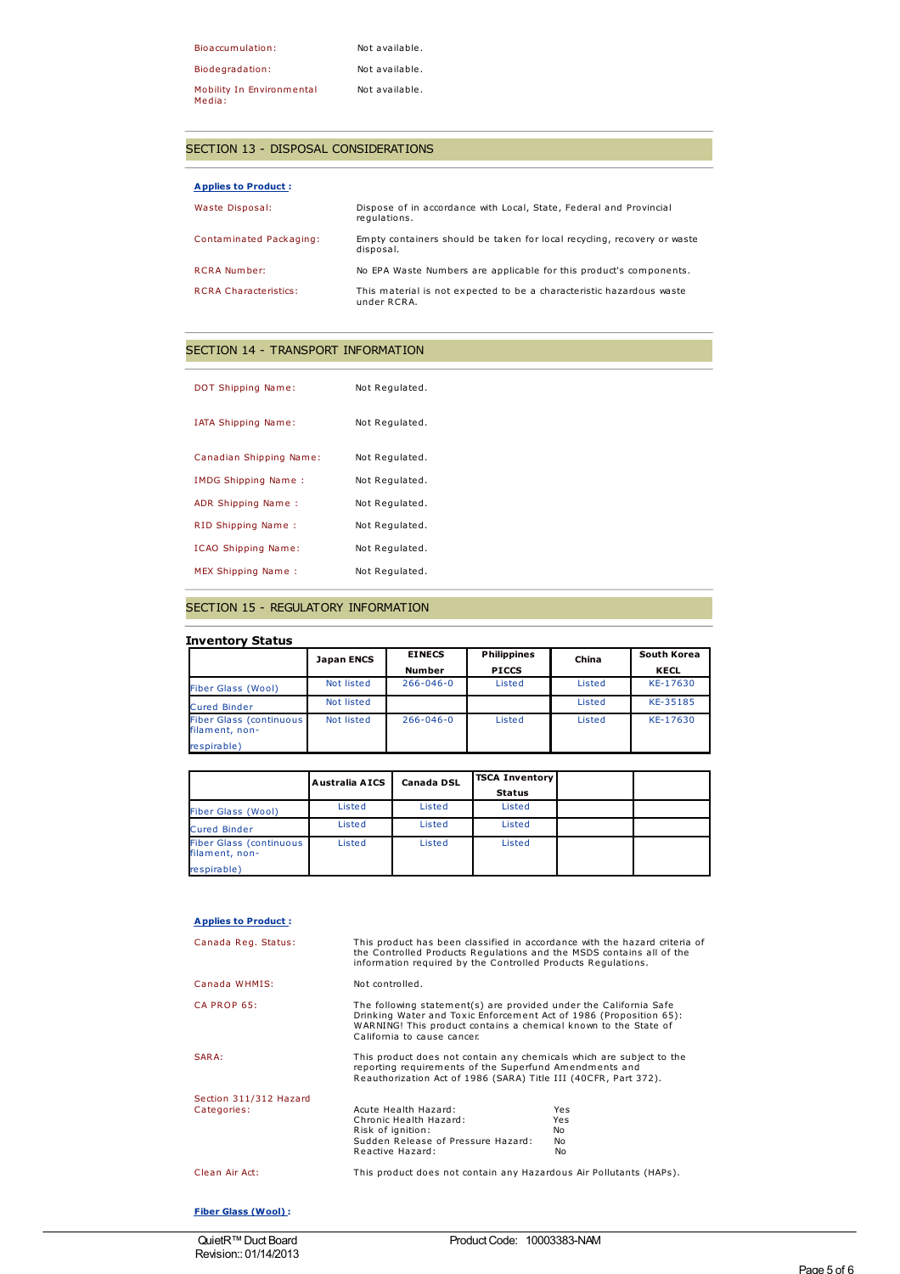| Bioaccumulation:                    | Not available. |
|-------------------------------------|----------------|
| Biodegradation:                     | Not available. |
| Mobility In Environmental<br>Media: | Not available. |

### SECTION 13 - DISPOSAL CONSIDERATIONS

| <b>Applies to Product:</b>   |                                                                                      |
|------------------------------|--------------------------------------------------------------------------------------|
| Waste Disposal:              | Dispose of in accordance with Local, State, Federal and Provincial<br>requlations.   |
| Contaminated Packaging:      | Empty containers should be taken for local recycling, recovery or waste<br>disposal. |
| <b>RCRA Number:</b>          | No EPA Waste Numbers are applicable for this product's components.                   |
| <b>RCRA Characteristics:</b> | This material is not expected to be a characteristic hazardous waste<br>under RCRA.  |

## SECTION 14 - TRANSPORT INFORMATION

| DOT Shipping Name:         | Not Regulated. |
|----------------------------|----------------|
| IATA Shipping Name:        | Not Regulated. |
| Canadian Shipping Name:    | Not Regulated. |
| IMDG Shipping Name:        | Not Regulated. |
| ADR Shipping Name:         | Not Regulated. |
| RID Shipping Name:         | Not Regulated. |
| <b>ICAO Shipping Name:</b> | Not Regulated. |
| <b>MEX Shipping Name:</b>  | Not Regulated. |

### SECTION 15 - REGULATORY INFORMATION

### **Inventory Status**

|                                                   | Japan ENCS | <b>EINECS</b>   | <b>Philippines</b> | China  | South Korea |
|---------------------------------------------------|------------|-----------------|--------------------|--------|-------------|
|                                                   |            | <b>Number</b>   | <b>PICCS</b>       |        | KECL        |
| <b>Fiber Glass (Wool)</b>                         | Not listed | $266 - 046 - 0$ | Listed             | Listed | KE-17630    |
| <b>Cured Binder</b>                               | Not listed |                 |                    | Listed | KE-35185    |
| <b>Fiber Glass (continuous)</b><br>filament, non- | Not listed | $266 - 046 - 0$ | Listed             | Listed | KE-17630    |
| respirable)                                       |            |                 |                    |        |             |

|                                                  | Australia AICS | Canada DSL | <b>TSCA Inventory</b> |  |
|--------------------------------------------------|----------------|------------|-----------------------|--|
|                                                  |                |            | <b>Status</b>         |  |
| <b>Fiber Glass (Wool)</b>                        | Listed         | Listed     | Listed                |  |
| <b>Cured Binder</b>                              | Listed         | Listed     | Listed                |  |
| <b>Fiber Glass (continuous</b><br>filament, non- | Listed         | Listed     | Listed                |  |
| respirable)                                      |                |            |                       |  |

### **Applies to Product :**

| Canada Reg. Status:                   | This product has been classified in accordance with the hazard criteria of<br>the Controlled Products Regulations and the MSDS contains all of the<br>information required by the Controlled Products Requlations.                        |                                 |
|---------------------------------------|-------------------------------------------------------------------------------------------------------------------------------------------------------------------------------------------------------------------------------------------|---------------------------------|
| Canada WHMIS:                         | Not controlled.                                                                                                                                                                                                                           |                                 |
| CA PROP 65:                           | The following statement(s) are provided under the California Safe<br>Drinking Water and Toxic Enforcement Act of 1986 (Proposition 65):<br>WARNING! This product contains a chemical known to the State of<br>California to cause cancer. |                                 |
| SARA:                                 | This product does not contain any chemicals which are subject to the<br>reporting requirements of the Superfund Amendments and<br>Reauthorization Act of 1986 (SARA) Title III (40CFR, Part 372).                                         |                                 |
| Section 311/312 Hazard<br>Categories: | Acute Health Hazard:<br>Chronic Health Hazard:<br>Risk of ignition:<br>Sudden Release of Pressure Hazard:<br>Reactive Hazard:                                                                                                             | Yes<br>Yes<br>No.<br>No.<br>No. |
| Clean Air Act:                        | This product does not contain any Hazardous Air Pollutants (HAPs).                                                                                                                                                                        |                                 |

### **Fiber Glass (Wool) :**